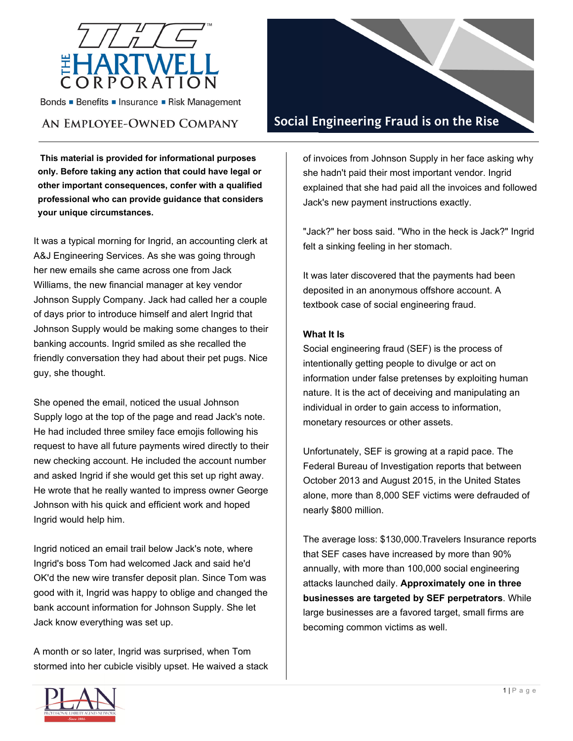

Bonds • Benefits • Insurance • Risk Management

# AN EMPLOYEE-OWNED COMPANY

**This material is provided for informational purposes only. Before taking any action that could have legal or other important consequences, confer with a qualified professional who can provide guidance that considers your unique circumstances.**

It was a typical morning for Ingrid, an accounting clerk at A&J Engineering Services. As she was going through her new emails she came across one from Jack Williams, the new financial manager at key vendor Johnson Supply Company. Jack had called her a couple of days prior to introduce himself and alert Ingrid that Johnson Supply would be making some changes to their banking accounts. Ingrid smiled as she recalled the friendly conversation they had about their pet pugs. Nice guy, she thought.

She opened the email, noticed the usual Johnson Supply logo at the top of the page and read Jack's note. He had included three smiley face emojis following his request to have all future payments wired directly to their new checking account. He included the account number and asked Ingrid if she would get this set up right away. He wrote that he really wanted to impress owner George Johnson with his quick and efficient work and hoped Ingrid would help him.

Ingrid noticed an email trail below Jack's note, where Ingrid's boss Tom had welcomed Jack and said he'd OK'd the new wire transfer deposit plan. Since Tom was good with it, Ingrid was happy to oblige and changed the bank account information for Johnson Supply. She let Jack know everything was set up.

A month or so later, Ingrid was surprised, when Tom stormed into her cubicle visibly upset. He waived a stack



of invoices from Johnson Supply in her face asking why she hadn't paid their most important vendor. Ingrid explained that she had paid all the invoices and followed Jack's new payment instructions exactly.

"Jack?" her boss said. "Who in the heck is Jack?" Ingrid felt a sinking feeling in her stomach.

It was later discovered that the payments had been deposited in an anonymous offshore account. A textbook case of social engineering fraud.

#### **What It Is**

Social engineering fraud (SEF) is the process of intentionally getting people to divulge or act on information under false pretenses by exploiting human nature. It is the act of deceiving and manipulating an individual in order to gain access to information, monetary resources or other assets.

Unfortunately, SEF is growing at a rapid pace. The Federal Bureau of Investigation reports that between October 2013 and August 2015, in the United States alone, more than 8,000 SEF victims were defrauded of nearly \$800 million.

The average loss: \$130,000.Travelers Insurance reports that SEF cases have increased by more than 90% annually, with more than 100,000 social engineering attacks launched daily. **Approximately one in three businesses are targeted by SEF perpetrators**. While large businesses are a favored target, small firms are becoming common victims as well.

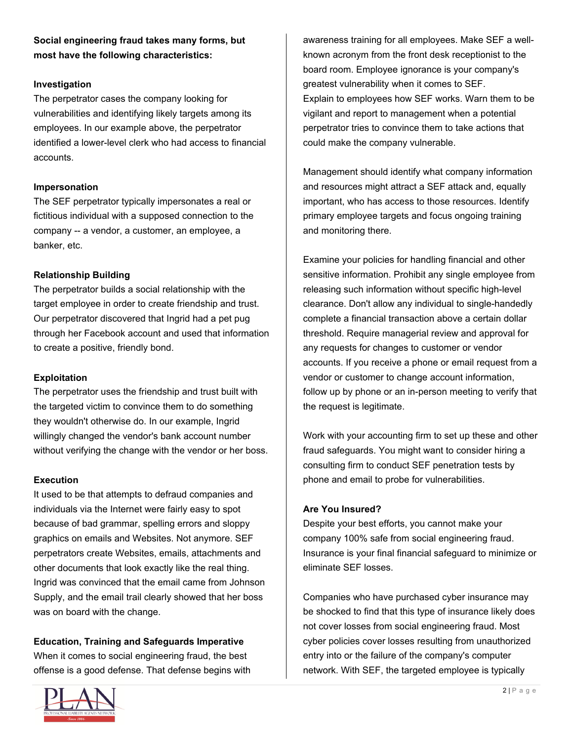**Social engineering fraud takes many forms, but most have the following characteristics:** 

#### **Investigation**

The perpetrator cases the company looking for vulnerabilities and identifying likely targets among its employees. In our example above, the perpetrator identified a lower-level clerk who had access to financial accounts.

### **Impersonation**

The SEF perpetrator typically impersonates a real or fictitious individual with a supposed connection to the company -- a vendor, a customer, an employee, a banker, etc.

### **Relationship Building**

The perpetrator builds a social relationship with the target employee in order to create friendship and trust. Our perpetrator discovered that Ingrid had a pet pug through her Facebook account and used that information to create a positive, friendly bond.

## **Exploitation**

The perpetrator uses the friendship and trust built with the targeted victim to convince them to do something they wouldn't otherwise do. In our example, Ingrid willingly changed the vendor's bank account number without verifying the change with the vendor or her boss.

#### **Execution**

It used to be that attempts to defraud companies and individuals via the Internet were fairly easy to spot because of bad grammar, spelling errors and sloppy graphics on emails and Websites. Not anymore. SEF perpetrators create Websites, emails, attachments and other documents that look exactly like the real thing. Ingrid was convinced that the email came from Johnson Supply, and the email trail clearly showed that her boss was on board with the change.

## **Education, Training and Safeguards Imperative**

When it comes to social engineering fraud, the best offense is a good defense. That defense begins with



awareness training for all employees. Make SEF a wellknown acronym from the front desk receptionist to the board room. Employee ignorance is your company's greatest vulnerability when it comes to SEF. Explain to employees how SEF works. Warn them to be vigilant and report to management when a potential perpetrator tries to convince them to take actions that could make the company vulnerable.

Management should identify what company information and resources might attract a SEF attack and, equally important, who has access to those resources. Identify primary employee targets and focus ongoing training and monitoring there.

Examine your policies for handling financial and other sensitive information. Prohibit any single employee from releasing such information without specific high-level clearance. Don't allow any individual to single-handedly complete a financial transaction above a certain dollar threshold. Require managerial review and approval for any requests for changes to customer or vendor accounts. If you receive a phone or email request from a vendor or customer to change account information, follow up by phone or an in-person meeting to verify that the request is legitimate.

Work with your accounting firm to set up these and other fraud safeguards. You might want to consider hiring a consulting firm to conduct SEF penetration tests by phone and email to probe for vulnerabilities.

## **Are You Insured?**

Despite your best efforts, you cannot make your company 100% safe from social engineering fraud. Insurance is your final financial safeguard to minimize or eliminate SEF losses.

Companies who have purchased cyber insurance may be shocked to find that this type of insurance likely does not cover losses from social engineering fraud. Most cyber policies cover losses resulting from unauthorized entry into or the failure of the company's computer network. With SEF, the targeted employee is typically